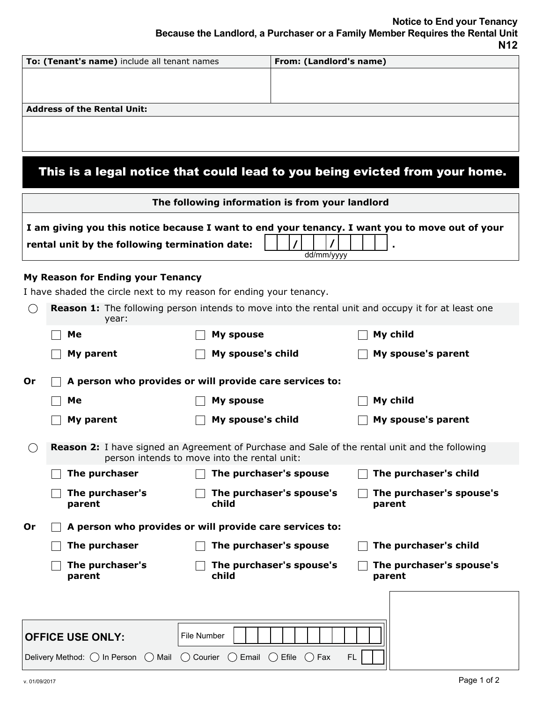| To: (Tenant's name) include all tenant names | From: (Landlord's name) |
|----------------------------------------------|-------------------------|
|                                              |                         |
|                                              |                         |
|                                              |                         |
| <b>Address of the Rental Unit:</b>           |                         |
|                                              |                         |
|                                              |                         |

## This is a legal notice that could lead to you being evicted from your home.

|    | The following information is from your landlord                                                                                                                |                                                                                                                                                       |                                                                                                           |  |  |  |  |  |  |  |  |
|----|----------------------------------------------------------------------------------------------------------------------------------------------------------------|-------------------------------------------------------------------------------------------------------------------------------------------------------|-----------------------------------------------------------------------------------------------------------|--|--|--|--|--|--|--|--|
|    | I am giving you this notice because I want to end your tenancy. I want you to move out of your<br>rental unit by the following termination date:<br>dd/mm/yyyy |                                                                                                                                                       |                                                                                                           |  |  |  |  |  |  |  |  |
|    | My Reason for Ending your Tenancy                                                                                                                              | I have shaded the circle next to my reason for ending your tenancy.                                                                                   |                                                                                                           |  |  |  |  |  |  |  |  |
|    | year:                                                                                                                                                          |                                                                                                                                                       | <b>Reason 1:</b> The following person intends to move into the rental unit and occupy it for at least one |  |  |  |  |  |  |  |  |
|    | Me                                                                                                                                                             | <b>My spouse</b>                                                                                                                                      | My child                                                                                                  |  |  |  |  |  |  |  |  |
|    | My parent                                                                                                                                                      | My spouse's child                                                                                                                                     | My spouse's parent                                                                                        |  |  |  |  |  |  |  |  |
| 0r |                                                                                                                                                                | A person who provides or will provide care services to:                                                                                               |                                                                                                           |  |  |  |  |  |  |  |  |
|    | Me                                                                                                                                                             | <b>My spouse</b>                                                                                                                                      | My child                                                                                                  |  |  |  |  |  |  |  |  |
|    | My parent                                                                                                                                                      | My spouse's child                                                                                                                                     | My spouse's parent                                                                                        |  |  |  |  |  |  |  |  |
|    |                                                                                                                                                                | <b>Reason 2:</b> I have signed an Agreement of Purchase and Sale of the rental unit and the following<br>person intends to move into the rental unit: |                                                                                                           |  |  |  |  |  |  |  |  |
|    | The purchaser                                                                                                                                                  | The purchaser's spouse                                                                                                                                | The purchaser's child                                                                                     |  |  |  |  |  |  |  |  |
|    | The purchaser's<br>parent                                                                                                                                      | The purchaser's spouse's<br>child                                                                                                                     | The purchaser's spouse's<br>parent                                                                        |  |  |  |  |  |  |  |  |
| 0r |                                                                                                                                                                | A person who provides or will provide care services to:                                                                                               |                                                                                                           |  |  |  |  |  |  |  |  |
|    | The purchaser                                                                                                                                                  | The purchaser's spouse                                                                                                                                | The purchaser's child                                                                                     |  |  |  |  |  |  |  |  |
|    | The purchaser's<br>parent                                                                                                                                      | The purchaser's spouse's<br>child                                                                                                                     | The purchaser's spouse's<br>parent                                                                        |  |  |  |  |  |  |  |  |
|    |                                                                                                                                                                |                                                                                                                                                       |                                                                                                           |  |  |  |  |  |  |  |  |
|    | <b>OFFICE USE ONLY:</b>                                                                                                                                        | File Number                                                                                                                                           |                                                                                                           |  |  |  |  |  |  |  |  |
|    |                                                                                                                                                                | Delivery Method: $\bigcirc$ In Person $\bigcirc$ Mail $\bigcirc$ Courier $\bigcirc$ Email $\bigcirc$ Efile $\bigcirc$ Fax                             | FL.                                                                                                       |  |  |  |  |  |  |  |  |